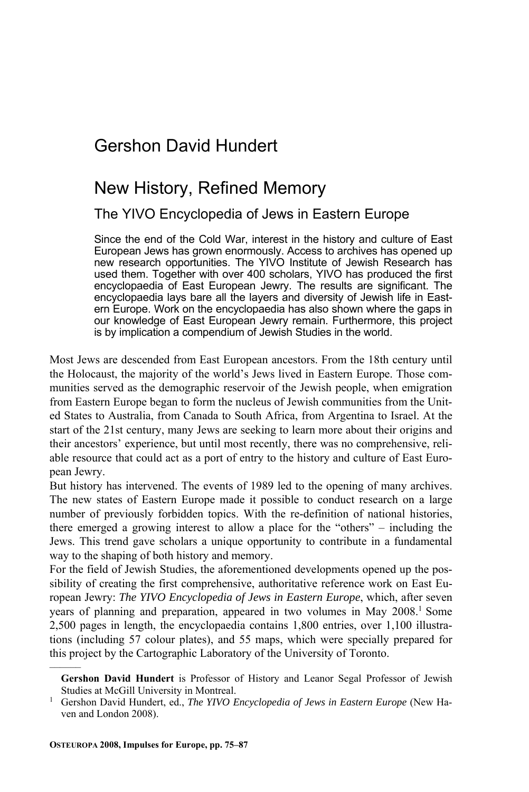## Gershon David Hundert

## New History, Refined Memory

### The YIVO Encyclopedia of Jews in Eastern Europe

Since the end of the Cold War, interest in the history and culture of East European Jews has grown enormously. Access to archives has opened up new research opportunities. The YIVO Institute of Jewish Research has used them. Together with over 400 scholars, YIVO has produced the first encyclopaedia of East European Jewry. The results are significant. The encyclopaedia lays bare all the layers and diversity of Jewish life in Eastern Europe. Work on the encyclopaedia has also shown where the gaps in our knowledge of East European Jewry remain. Furthermore, this project is by implication a compendium of Jewish Studies in the world.

Most Jews are descended from East European ancestors. From the 18th century until the Holocaust, the majority of the world's Jews lived in Eastern Europe. Those communities served as the demographic reservoir of the Jewish people, when emigration from Eastern Europe began to form the nucleus of Jewish communities from the United States to Australia, from Canada to South Africa, from Argentina to Israel. At the start of the 21st century, many Jews are seeking to learn more about their origins and their ancestors' experience, but until most recently, there was no comprehensive, reliable resource that could act as a port of entry to the history and culture of East European Jewry.

But history has intervened. The events of 1989 led to the opening of many archives. The new states of Eastern Europe made it possible to conduct research on a large number of previously forbidden topics. With the re-definition of national histories, there emerged a growing interest to allow a place for the "others" – including the Jews. This trend gave scholars a unique opportunity to contribute in a fundamental way to the shaping of both history and memory.

For the field of Jewish Studies, the aforementioned developments opened up the possibility of creating the first comprehensive, authoritative reference work on East European Jewry: *The YIVO Encyclopedia of Jews in Eastern Europe*, which, after seven years of planning and preparation, appeared in two volumes in May 2008.1 Some 2,500 pages in length, the encyclopaedia contains 1,800 entries, over 1,100 illustrations (including 57 colour plates), and 55 maps, which were specially prepared for this project by the Cartographic Laboratory of the University of Toronto.

––––––

**Gershon David Hundert** is Professor of History and Leanor Segal Professor of Jewish Studies at McGill University in Montreal.<br><sup>1</sup> Gershon David Hundert, ed., *The YIVO Encyclopedia of Jews in Eastern Europe* (New Ha-

ven and London 2008).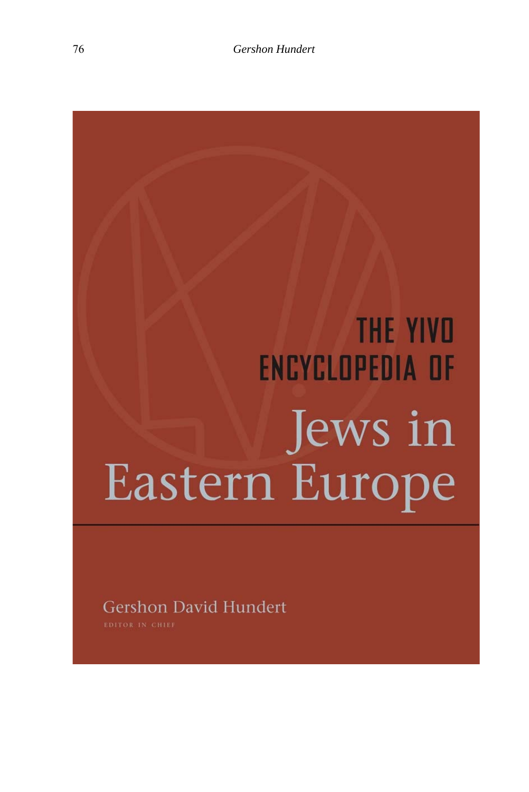# **THE YIVD** ENCYCLOPEDIA OF Jews in<br>Eastern Europe

Gershon David Hundert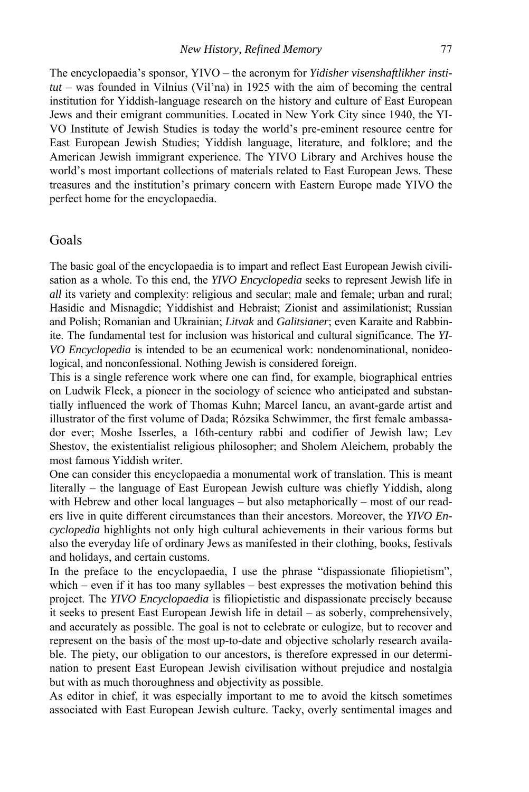The encyclopaedia's sponsor, YIVO – the acronym for *Yidisher visenshaftlikher institut* – was founded in Vilnius (Vil'na) in 1925 with the aim of becoming the central institution for Yiddish-language research on the history and culture of East European Jews and their emigrant communities. Located in New York City since 1940, the YI-VO Institute of Jewish Studies is today the world's pre-eminent resource centre for East European Jewish Studies; Yiddish language, literature, and folklore; and the American Jewish immigrant experience. The YIVO Library and Archives house the world's most important collections of materials related to East European Jews. These treasures and the institution's primary concern with Eastern Europe made YIVO the perfect home for the encyclopaedia.

#### Goals

The basic goal of the encyclopaedia is to impart and reflect East European Jewish civilisation as a whole. To this end, the *YIVO Encyclopedia* seeks to represent Jewish life in *all* its variety and complexity: religious and secular; male and female; urban and rural; Hasidic and Misnagdic; Yiddishist and Hebraist; Zionist and assimilationist; Russian and Polish; Romanian and Ukrainian; *Litvak* and *Galitsianer*; even Karaite and Rabbinite. The fundamental test for inclusion was historical and cultural significance. The *YI-VO Encyclopedia* is intended to be an ecumenical work: nondenominational, nonideological, and nonconfessional. Nothing Jewish is considered foreign.

This is a single reference work where one can find, for example, biographical entries on Ludwik Fleck, a pioneer in the sociology of science who anticipated and substantially influenced the work of Thomas Kuhn; Marcel Iancu, an avant-garde artist and illustrator of the first volume of Dada; Rózsika Schwimmer, the first female ambassador ever; Moshe Isserles, a 16th-century rabbi and codifier of Jewish law; Lev Shestov, the existentialist religious philosopher; and Sholem Aleichem, probably the most famous Yiddish writer.

One can consider this encyclopaedia a monumental work of translation. This is meant literally – the language of East European Jewish culture was chiefly Yiddish, along with Hebrew and other local languages – but also metaphorically – most of our readers live in quite different circumstances than their ancestors. Moreover, the *YIVO Encyclopedia* highlights not only high cultural achievements in their various forms but also the everyday life of ordinary Jews as manifested in their clothing, books, festivals and holidays, and certain customs.

In the preface to the encyclopaedia, I use the phrase "dispassionate filiopietism", which – even if it has too many syllables – best expresses the motivation behind this project. The *YIVO Encyclopaedia* is filiopietistic and dispassionate precisely because it seeks to present East European Jewish life in detail – as soberly, comprehensively, and accurately as possible. The goal is not to celebrate or eulogize, but to recover and represent on the basis of the most up-to-date and objective scholarly research available. The piety, our obligation to our ancestors, is therefore expressed in our determination to present East European Jewish civilisation without prejudice and nostalgia but with as much thoroughness and objectivity as possible.

As editor in chief, it was especially important to me to avoid the kitsch sometimes associated with East European Jewish culture. Tacky, overly sentimental images and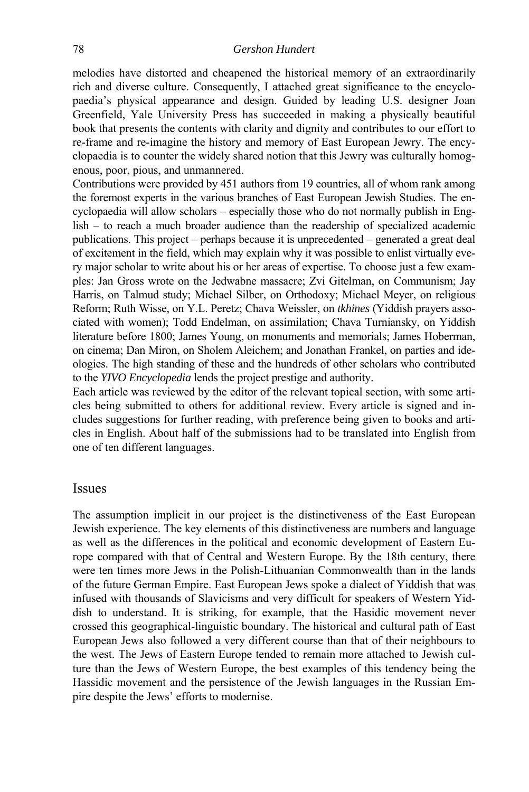#### 78 *Gershon Hundert*

melodies have distorted and cheapened the historical memory of an extraordinarily rich and diverse culture. Consequently, I attached great significance to the encyclopaedia's physical appearance and design. Guided by leading U.S. designer Joan Greenfield, Yale University Press has succeeded in making a physically beautiful book that presents the contents with clarity and dignity and contributes to our effort to re-frame and re-imagine the history and memory of East European Jewry. The encyclopaedia is to counter the widely shared notion that this Jewry was culturally homogenous, poor, pious, and unmannered.

Contributions were provided by 451 authors from 19 countries, all of whom rank among the foremost experts in the various branches of East European Jewish Studies. The encyclopaedia will allow scholars – especially those who do not normally publish in English – to reach a much broader audience than the readership of specialized academic publications. This project – perhaps because it is unprecedented – generated a great deal of excitement in the field, which may explain why it was possible to enlist virtually every major scholar to write about his or her areas of expertise. To choose just a few examples: Jan Gross wrote on the Jedwabne massacre; Zvi Gitelman, on Communism; Jay Harris, on Talmud study; Michael Silber, on Orthodoxy; Michael Meyer, on religious Reform; Ruth Wisse, on Y.L. Peretz; Chava Weissler, on *tkhines* (Yiddish prayers associated with women); Todd Endelman, on assimilation; Chava Turniansky, on Yiddish literature before 1800; James Young, on monuments and memorials; James Hoberman, on cinema; Dan Miron, on Sholem Aleichem; and Jonathan Frankel, on parties and ideologies. The high standing of these and the hundreds of other scholars who contributed to the *YIVO Encyclopedia* lends the project prestige and authority.

Each article was reviewed by the editor of the relevant topical section, with some articles being submitted to others for additional review. Every article is signed and includes suggestions for further reading, with preference being given to books and articles in English. About half of the submissions had to be translated into English from one of ten different languages.

#### Issues

The assumption implicit in our project is the distinctiveness of the East European Jewish experience. The key elements of this distinctiveness are numbers and language as well as the differences in the political and economic development of Eastern Europe compared with that of Central and Western Europe. By the 18th century, there were ten times more Jews in the Polish-Lithuanian Commonwealth than in the lands of the future German Empire. East European Jews spoke a dialect of Yiddish that was infused with thousands of Slavicisms and very difficult for speakers of Western Yiddish to understand. It is striking, for example, that the Hasidic movement never crossed this geographical-linguistic boundary. The historical and cultural path of East European Jews also followed a very different course than that of their neighbours to the west. The Jews of Eastern Europe tended to remain more attached to Jewish culture than the Jews of Western Europe, the best examples of this tendency being the Hassidic movement and the persistence of the Jewish languages in the Russian Empire despite the Jews' efforts to modernise.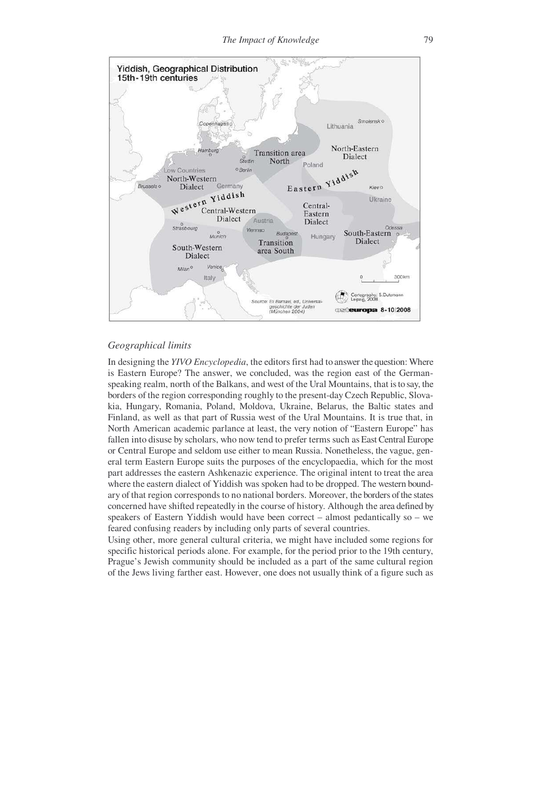

#### *Geographical limits*

In designing the *YIVO Encyclopedia*, the editors first had to answer the question: Where is Eastern Europe? The answer, we concluded, was the region east of the Germanspeaking realm, north of the Balkans, and west of the Ural Mountains, that is to say, the borders of the region corresponding roughly to the present-day Czech Republic, Slovakia, Hungary, Romania, Poland, Moldova, Ukraine, Belarus, the Baltic states and Finland, as well as that part of Russia west of the Ural Mountains. It is true that, in North American academic parlance at least, the very notion of "Eastern Europe" has fallen into disuse by scholars, who now tend to prefer terms such as East Central Europe or Central Europe and seldom use either to mean Russia. Nonetheless, the vague, general term Eastern Europe suits the purposes of the encyclopaedia, which for the most part addresses the eastern Ashkenazic experience. The original intent to treat the area where the eastern dialect of Yiddish was spoken had to be dropped. The western boundary of that region corresponds to no national borders. Moreover, the borders of the states concerned have shifted repeatedly in the course of history. Although the area defined by speakers of Eastern Yiddish would have been correct – almost pedantically so – we feared confusing readers by including only parts of several countries.

Using other, more general cultural criteria, we might have included some regions for specific historical periods alone. For example, for the period prior to the 19th century, Prague's Jewish community should be included as a part of the same cultural region of the Jews living farther east. However, one does not usually think of a figure such as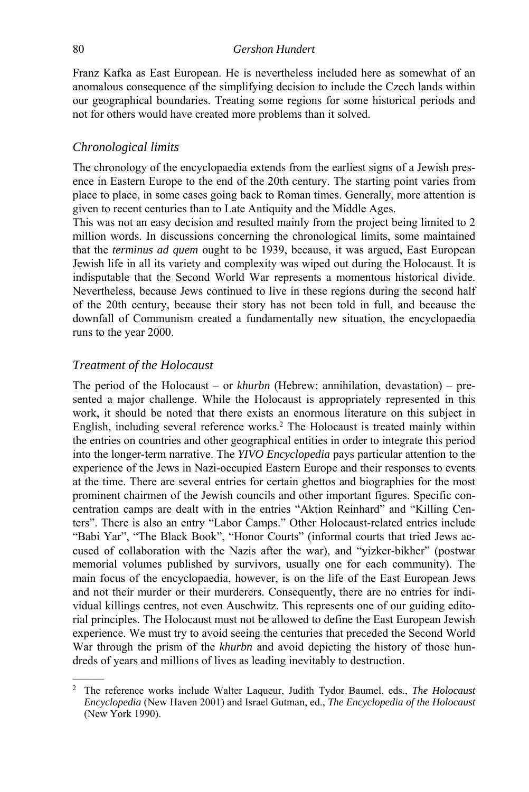Franz Kafka as East European. He is nevertheless included here as somewhat of an anomalous consequence of the simplifying decision to include the Czech lands within our geographical boundaries. Treating some regions for some historical periods and not for others would have created more problems than it solved.

#### *Chronological limits*

The chronology of the encyclopaedia extends from the earliest signs of a Jewish presence in Eastern Europe to the end of the 20th century. The starting point varies from place to place, in some cases going back to Roman times. Generally, more attention is given to recent centuries than to Late Antiquity and the Middle Ages.

This was not an easy decision and resulted mainly from the project being limited to 2 million words. In discussions concerning the chronological limits, some maintained that the *terminus ad quem* ought to be 1939, because, it was argued, East European Jewish life in all its variety and complexity was wiped out during the Holocaust. It is indisputable that the Second World War represents a momentous historical divide. Nevertheless, because Jews continued to live in these regions during the second half of the 20th century, because their story has not been told in full, and because the downfall of Communism created a fundamentally new situation, the encyclopaedia runs to the year 2000.

#### *Treatment of the Holocaust*

––––––

The period of the Holocaust – or *khurbn* (Hebrew: annihilation, devastation) – presented a major challenge. While the Holocaust is appropriately represented in this work, it should be noted that there exists an enormous literature on this subject in English, including several reference works.<sup>2</sup> The Holocaust is treated mainly within the entries on countries and other geographical entities in order to integrate this period into the longer-term narrative. The *YIVO Encyclopedia* pays particular attention to the experience of the Jews in Nazi-occupied Eastern Europe and their responses to events at the time. There are several entries for certain ghettos and biographies for the most prominent chairmen of the Jewish councils and other important figures. Specific concentration camps are dealt with in the entries "Aktion Reinhard" and "Killing Centers". There is also an entry "Labor Camps." Other Holocaust-related entries include "Babi Yar", "The Black Book", "Honor Courts" (informal courts that tried Jews accused of collaboration with the Nazis after the war), and "yizker-bikher" (postwar memorial volumes published by survivors, usually one for each community). The main focus of the encyclopaedia, however, is on the life of the East European Jews and not their murder or their murderers. Consequently, there are no entries for individual killings centres, not even Auschwitz. This represents one of our guiding editorial principles. The Holocaust must not be allowed to define the East European Jewish experience. We must try to avoid seeing the centuries that preceded the Second World War through the prism of the *khurbn* and avoid depicting the history of those hundreds of years and millions of lives as leading inevitably to destruction.

<sup>2</sup> The reference works include Walter Laqueur, Judith Tydor Baumel, eds., *The Holocaust Encyclopedia* (New Haven 2001) and Israel Gutman, ed., *The Encyclopedia of the Holocaust* (New York 1990).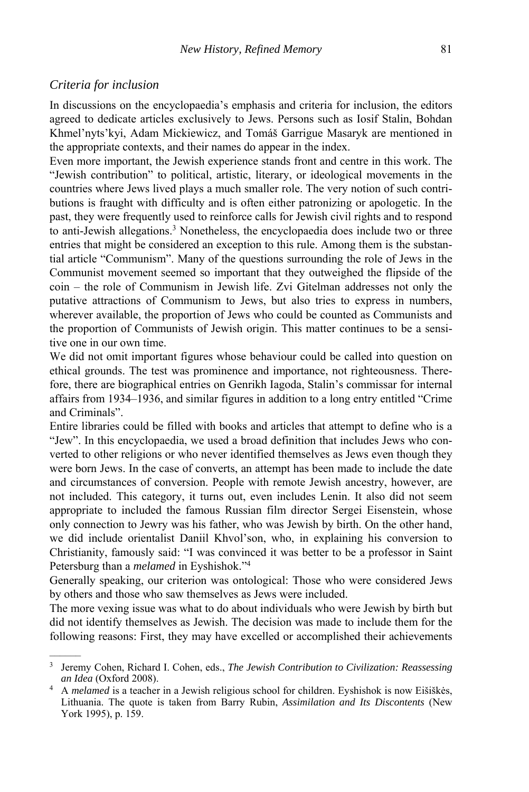#### *Criteria for inclusion*

––––––

In discussions on the encyclopaedia's emphasis and criteria for inclusion, the editors agreed to dedicate articles exclusively to Jews. Persons such as Iosif Stalin, Bohdan Khmel'nyts'kyi, Adam Mickiewicz, and Tomáš Garrigue Masaryk are mentioned in the appropriate contexts, and their names do appear in the index.

Even more important, the Jewish experience stands front and centre in this work. The "Jewish contribution" to political, artistic, literary, or ideological movements in the countries where Jews lived plays a much smaller role. The very notion of such contributions is fraught with difficulty and is often either patronizing or apologetic. In the past, they were frequently used to reinforce calls for Jewish civil rights and to respond to anti-Jewish allegations.<sup>3</sup> Nonetheless, the encyclopaedia does include two or three entries that might be considered an exception to this rule. Among them is the substantial article "Communism". Many of the questions surrounding the role of Jews in the Communist movement seemed so important that they outweighed the flipside of the coin – the role of Communism in Jewish life. Zvi Gitelman addresses not only the putative attractions of Communism to Jews, but also tries to express in numbers, wherever available, the proportion of Jews who could be counted as Communists and the proportion of Communists of Jewish origin. This matter continues to be a sensitive one in our own time.

We did not omit important figures whose behaviour could be called into question on ethical grounds. The test was prominence and importance, not righteousness. Therefore, there are biographical entries on Genrikh Iagoda, Stalin's commissar for internal affairs from 1934–1936, and similar figures in addition to a long entry entitled "Crime and Criminals".

Entire libraries could be filled with books and articles that attempt to define who is a "Jew". In this encyclopaedia, we used a broad definition that includes Jews who converted to other religions or who never identified themselves as Jews even though they were born Jews. In the case of converts, an attempt has been made to include the date and circumstances of conversion. People with remote Jewish ancestry, however, are not included. This category, it turns out, even includes Lenin. It also did not seem appropriate to included the famous Russian film director Sergei Eisenstein, whose only connection to Jewry was his father, who was Jewish by birth. On the other hand, we did include orientalist Daniil Khvol'son, who, in explaining his conversion to Christianity, famously said: "I was convinced it was better to be a professor in Saint Petersburg than a *melamed* in Eyshishok."4

Generally speaking, our criterion was ontological: Those who were considered Jews by others and those who saw themselves as Jews were included.

The more vexing issue was what to do about individuals who were Jewish by birth but did not identify themselves as Jewish. The decision was made to include them for the following reasons: First, they may have excelled or accomplished their achievements

<sup>3</sup> Jeremy Cohen, Richard I. Cohen, eds., *The Jewish Contribution to Civilization: Reassessing an Idea* (Oxford 2008). 4 A *melamed* is a teacher in a Jewish religious school for children. Eyshishok is now Eišiškės,

Lithuania. The quote is taken from Barry Rubin, *Assimilation and Its Discontents* (New York 1995), p. 159.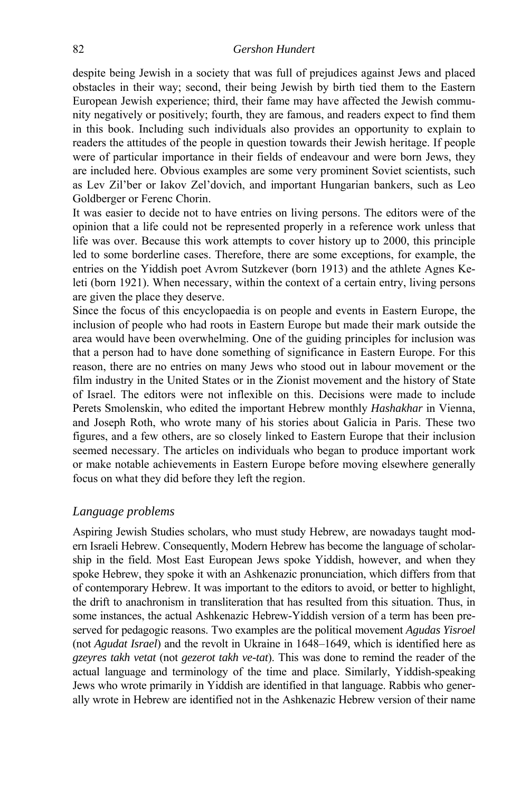#### 82 *Gershon Hundert*

despite being Jewish in a society that was full of prejudices against Jews and placed obstacles in their way; second, their being Jewish by birth tied them to the Eastern European Jewish experience; third, their fame may have affected the Jewish community negatively or positively; fourth, they are famous, and readers expect to find them in this book. Including such individuals also provides an opportunity to explain to readers the attitudes of the people in question towards their Jewish heritage. If people were of particular importance in their fields of endeavour and were born Jews, they are included here. Obvious examples are some very prominent Soviet scientists, such as Lev Zil'ber or Iakov Zel'dovich, and important Hungarian bankers, such as Leo Goldberger or Ferenc Chorin.

It was easier to decide not to have entries on living persons. The editors were of the opinion that a life could not be represented properly in a reference work unless that life was over. Because this work attempts to cover history up to 2000, this principle led to some borderline cases. Therefore, there are some exceptions, for example, the entries on the Yiddish poet Avrom Sutzkever (born 1913) and the athlete Agnes Keleti (born 1921). When necessary, within the context of a certain entry, living persons are given the place they deserve.

Since the focus of this encyclopaedia is on people and events in Eastern Europe, the inclusion of people who had roots in Eastern Europe but made their mark outside the area would have been overwhelming. One of the guiding principles for inclusion was that a person had to have done something of significance in Eastern Europe. For this reason, there are no entries on many Jews who stood out in labour movement or the film industry in the United States or in the Zionist movement and the history of State of Israel. The editors were not inflexible on this. Decisions were made to include Perets Smolenskin, who edited the important Hebrew monthly *Hashakhar* in Vienna, and Joseph Roth, who wrote many of his stories about Galicia in Paris. These two figures, and a few others, are so closely linked to Eastern Europe that their inclusion seemed necessary. The articles on individuals who began to produce important work or make notable achievements in Eastern Europe before moving elsewhere generally focus on what they did before they left the region.

#### *Language problems*

Aspiring Jewish Studies scholars, who must study Hebrew, are nowadays taught modern Israeli Hebrew. Consequently, Modern Hebrew has become the language of scholarship in the field. Most East European Jews spoke Yiddish, however, and when they spoke Hebrew, they spoke it with an Ashkenazic pronunciation, which differs from that of contemporary Hebrew. It was important to the editors to avoid, or better to highlight, the drift to anachronism in transliteration that has resulted from this situation. Thus, in some instances, the actual Ashkenazic Hebrew-Yiddish version of a term has been preserved for pedagogic reasons. Two examples are the political movement *Agudas Yisroel* (not *Agudat Israel*) and the revolt in Ukraine in 1648–1649, which is identified here as *gzeyres takh vetat* (not *gezerot takh ve-tat*). This was done to remind the reader of the actual language and terminology of the time and place. Similarly, Yiddish-speaking Jews who wrote primarily in Yiddish are identified in that language. Rabbis who generally wrote in Hebrew are identified not in the Ashkenazic Hebrew version of their name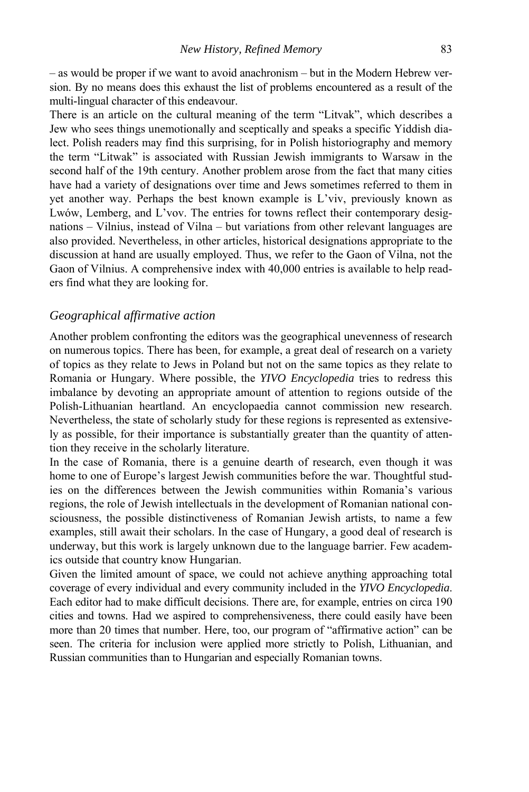– as would be proper if we want to avoid anachronism – but in the Modern Hebrew version. By no means does this exhaust the list of problems encountered as a result of the multi-lingual character of this endeavour.

There is an article on the cultural meaning of the term "Litvak", which describes a Jew who sees things unemotionally and sceptically and speaks a specific Yiddish dialect. Polish readers may find this surprising, for in Polish historiography and memory the term "Litwak" is associated with Russian Jewish immigrants to Warsaw in the second half of the 19th century. Another problem arose from the fact that many cities have had a variety of designations over time and Jews sometimes referred to them in yet another way. Perhaps the best known example is L'viv, previously known as Lwów, Lemberg, and L'vov. The entries for towns reflect their contemporary designations – Vilnius, instead of Vilna – but variations from other relevant languages are also provided. Nevertheless, in other articles, historical designations appropriate to the discussion at hand are usually employed. Thus, we refer to the Gaon of Vilna, not the Gaon of Vilnius. A comprehensive index with 40,000 entries is available to help readers find what they are looking for.

#### *Geographical affirmative action*

Another problem confronting the editors was the geographical unevenness of research on numerous topics. There has been, for example, a great deal of research on a variety of topics as they relate to Jews in Poland but not on the same topics as they relate to Romania or Hungary. Where possible, the *YIVO Encyclopedia* tries to redress this imbalance by devoting an appropriate amount of attention to regions outside of the Polish-Lithuanian heartland. An encyclopaedia cannot commission new research. Nevertheless, the state of scholarly study for these regions is represented as extensively as possible, for their importance is substantially greater than the quantity of attention they receive in the scholarly literature.

In the case of Romania, there is a genuine dearth of research, even though it was home to one of Europe's largest Jewish communities before the war. Thoughtful studies on the differences between the Jewish communities within Romania's various regions, the role of Jewish intellectuals in the development of Romanian national consciousness, the possible distinctiveness of Romanian Jewish artists, to name a few examples, still await their scholars. In the case of Hungary, a good deal of research is underway, but this work is largely unknown due to the language barrier. Few academics outside that country know Hungarian.

Given the limited amount of space, we could not achieve anything approaching total coverage of every individual and every community included in the *YIVO Encyclopedia*. Each editor had to make difficult decisions. There are, for example, entries on circa 190 cities and towns. Had we aspired to comprehensiveness, there could easily have been more than 20 times that number. Here, too, our program of "affirmative action" can be seen. The criteria for inclusion were applied more strictly to Polish, Lithuanian, and Russian communities than to Hungarian and especially Romanian towns.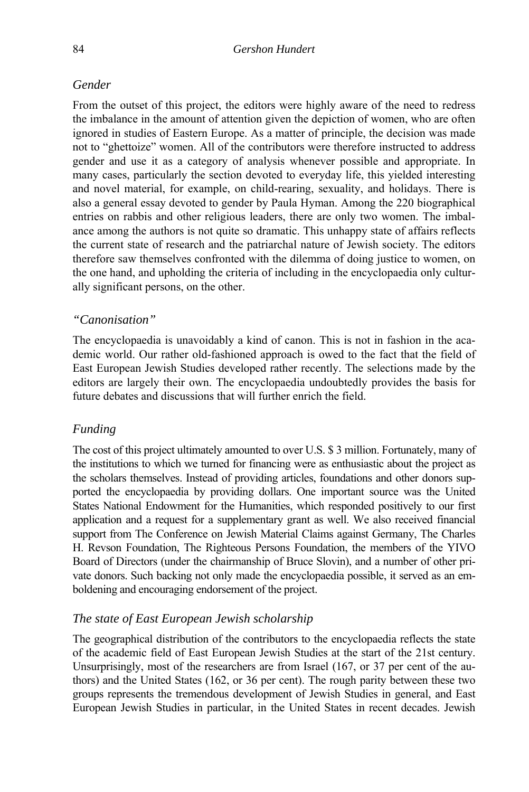#### *Gender*

From the outset of this project, the editors were highly aware of the need to redress the imbalance in the amount of attention given the depiction of women, who are often ignored in studies of Eastern Europe. As a matter of principle, the decision was made not to "ghettoize" women. All of the contributors were therefore instructed to address gender and use it as a category of analysis whenever possible and appropriate. In many cases, particularly the section devoted to everyday life, this yielded interesting and novel material, for example, on child-rearing, sexuality, and holidays. There is also a general essay devoted to gender by Paula Hyman. Among the 220 biographical entries on rabbis and other religious leaders, there are only two women. The imbalance among the authors is not quite so dramatic. This unhappy state of affairs reflects the current state of research and the patriarchal nature of Jewish society. The editors therefore saw themselves confronted with the dilemma of doing justice to women, on the one hand, and upholding the criteria of including in the encyclopaedia only culturally significant persons, on the other.

#### *"Canonisation"*

The encyclopaedia is unavoidably a kind of canon. This is not in fashion in the academic world. Our rather old-fashioned approach is owed to the fact that the field of East European Jewish Studies developed rather recently. The selections made by the editors are largely their own. The encyclopaedia undoubtedly provides the basis for future debates and discussions that will further enrich the field.

#### *Funding*

The cost of this project ultimately amounted to over U.S. \$ 3 million. Fortunately, many of the institutions to which we turned for financing were as enthusiastic about the project as the scholars themselves. Instead of providing articles, foundations and other donors supported the encyclopaedia by providing dollars. One important source was the United States National Endowment for the Humanities, which responded positively to our first application and a request for a supplementary grant as well. We also received financial support from The Conference on Jewish Material Claims against Germany, The Charles H. Revson Foundation, The Righteous Persons Foundation, the members of the YIVO Board of Directors (under the chairmanship of Bruce Slovin), and a number of other private donors. Such backing not only made the encyclopaedia possible, it served as an emboldening and encouraging endorsement of the project.

#### *The state of East European Jewish scholarship*

The geographical distribution of the contributors to the encyclopaedia reflects the state of the academic field of East European Jewish Studies at the start of the 21st century. Unsurprisingly, most of the researchers are from Israel (167, or 37 per cent of the authors) and the United States (162, or 36 per cent). The rough parity between these two groups represents the tremendous development of Jewish Studies in general, and East European Jewish Studies in particular, in the United States in recent decades. Jewish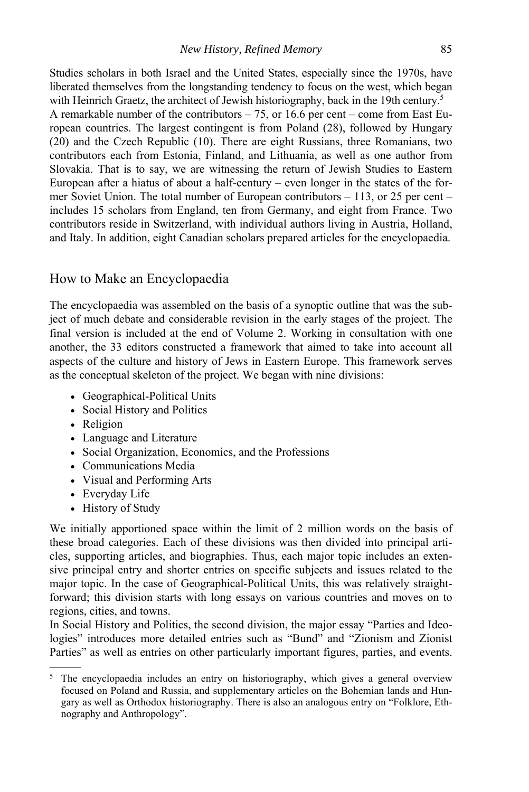Studies scholars in both Israel and the United States, especially since the 1970s, have liberated themselves from the longstanding tendency to focus on the west, which began with Heinrich Graetz, the architect of Jewish historiography, back in the 19th century.<sup>5</sup> A remarkable number of the contributors – 75, or 16.6 per cent – come from East European countries. The largest contingent is from Poland (28), followed by Hungary (20) and the Czech Republic (10). There are eight Russians, three Romanians, two contributors each from Estonia, Finland, and Lithuania, as well as one author from Slovakia. That is to say, we are witnessing the return of Jewish Studies to Eastern European after a hiatus of about a half-century – even longer in the states of the former Soviet Union. The total number of European contributors – 113, or 25 per cent – includes 15 scholars from England, ten from Germany, and eight from France. Two contributors reside in Switzerland, with individual authors living in Austria, Holland, and Italy. In addition, eight Canadian scholars prepared articles for the encyclopaedia.

#### How to Make an Encyclopaedia

The encyclopaedia was assembled on the basis of a synoptic outline that was the subject of much debate and considerable revision in the early stages of the project. The final version is included at the end of Volume 2. Working in consultation with one another, the 33 editors constructed a framework that aimed to take into account all aspects of the culture and history of Jews in Eastern Europe. This framework serves as the conceptual skeleton of the project. We began with nine divisions:

- Geographical-Political Units
- Social History and Politics
- Religion
- Language and Literature
- Social Organization, Economics, and the Professions
- Communications Media
- Visual and Performing Arts
- Everyday Life

––––––

• History of Study

We initially apportioned space within the limit of 2 million words on the basis of these broad categories. Each of these divisions was then divided into principal articles, supporting articles, and biographies. Thus, each major topic includes an extensive principal entry and shorter entries on specific subjects and issues related to the major topic. In the case of Geographical-Political Units, this was relatively straightforward; this division starts with long essays on various countries and moves on to regions, cities, and towns.

In Social History and Politics, the second division, the major essay "Parties and Ideologies" introduces more detailed entries such as "Bund" and "Zionism and Zionist Parties" as well as entries on other particularly important figures, parties, and events.

<sup>&</sup>lt;sup>5</sup> The encyclopaedia includes an entry on historiography, which gives a general overview focused on Poland and Russia, and supplementary articles on the Bohemian lands and Hungary as well as Orthodox historiography. There is also an analogous entry on "Folklore, Ethnography and Anthropology".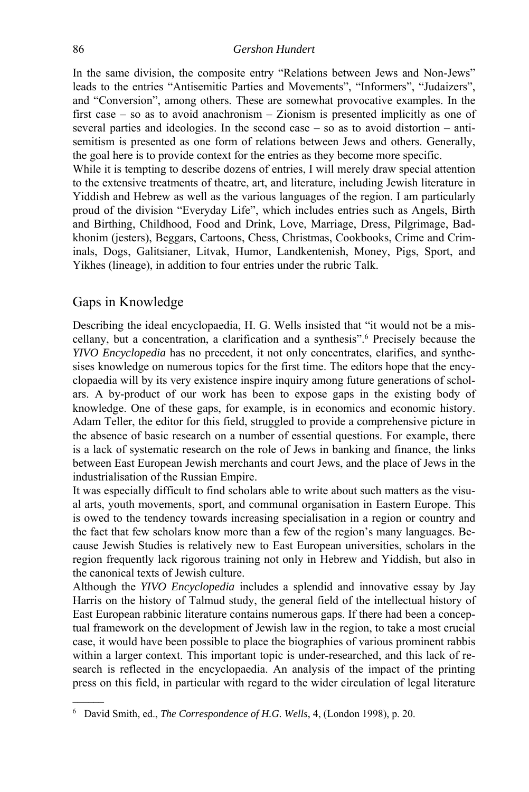In the same division, the composite entry "Relations between Jews and Non-Jews" leads to the entries "Antisemitic Parties and Movements", "Informers", "Judaizers", and "Conversion", among others. These are somewhat provocative examples. In the first case – so as to avoid anachronism – Zionism is presented implicitly as one of several parties and ideologies. In the second case – so as to avoid distortion – antisemitism is presented as one form of relations between Jews and others. Generally, the goal here is to provide context for the entries as they become more specific.

While it is tempting to describe dozens of entries, I will merely draw special attention to the extensive treatments of theatre, art, and literature, including Jewish literature in Yiddish and Hebrew as well as the various languages of the region. I am particularly proud of the division "Everyday Life", which includes entries such as Angels, Birth and Birthing, Childhood, Food and Drink, Love, Marriage, Dress, Pilgrimage, Badkhonim (jesters), Beggars, Cartoons, Chess, Christmas, Cookbooks, Crime and Criminals, Dogs, Galitsianer, Litvak, Humor, Landkentenish, Money, Pigs, Sport, and Yikhes (lineage), in addition to four entries under the rubric Talk.

#### Gaps in Knowledge

––––––

Describing the ideal encyclopaedia, H. G. Wells insisted that "it would not be a miscellany, but a concentration, a clarification and a synthesis".6 Precisely because the *YIVO Encyclopedia* has no precedent, it not only concentrates, clarifies, and synthesises knowledge on numerous topics for the first time. The editors hope that the encyclopaedia will by its very existence inspire inquiry among future generations of scholars. A by-product of our work has been to expose gaps in the existing body of knowledge. One of these gaps, for example, is in economics and economic history. Adam Teller, the editor for this field, struggled to provide a comprehensive picture in the absence of basic research on a number of essential questions. For example, there is a lack of systematic research on the role of Jews in banking and finance, the links between East European Jewish merchants and court Jews, and the place of Jews in the industrialisation of the Russian Empire.

It was especially difficult to find scholars able to write about such matters as the visual arts, youth movements, sport, and communal organisation in Eastern Europe. This is owed to the tendency towards increasing specialisation in a region or country and the fact that few scholars know more than a few of the region's many languages. Because Jewish Studies is relatively new to East European universities, scholars in the region frequently lack rigorous training not only in Hebrew and Yiddish, but also in the canonical texts of Jewish culture.

Although the *YIVO Encyclopedia* includes a splendid and innovative essay by Jay Harris on the history of Talmud study, the general field of the intellectual history of East European rabbinic literature contains numerous gaps. If there had been a conceptual framework on the development of Jewish law in the region, to take a most crucial case, it would have been possible to place the biographies of various prominent rabbis within a larger context. This important topic is under-researched, and this lack of research is reflected in the encyclopaedia. An analysis of the impact of the printing press on this field, in particular with regard to the wider circulation of legal literature

<sup>6</sup> David Smith, ed., *The Correspondence of H.G. Wells*, 4, (London 1998), p. 20.